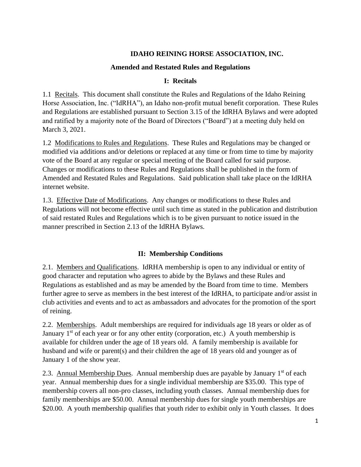## **IDAHO REINING HORSE ASSOCIATION, INC.**

#### **Amended and Restated Rules and Regulations**

#### **I: Recitals**

1.1 Recitals. This document shall constitute the Rules and Regulations of the Idaho Reining Horse Association, Inc. ("IdRHA"), an Idaho non-profit mutual benefit corporation. These Rules and Regulations are established pursuant to Section 3.15 of the IdRHA Bylaws and were adopted and ratified by a majority note of the Board of Directors ("Board") at a meeting duly held on March 3, 2021.

1.2 Modifications to Rules and Regulations. These Rules and Regulations may be changed or modified via additions and/or deletions or replaced at any time or from time to time by majority vote of the Board at any regular or special meeting of the Board called for said purpose. Changes or modifications to these Rules and Regulations shall be published in the form of Amended and Restated Rules and Regulations. Said publication shall take place on the IdRHA internet website.

1.3. Effective Date of Modifications. Any changes or modifications to these Rules and Regulations will not become effective until such time as stated in the publication and distribution of said restated Rules and Regulations which is to be given pursuant to notice issued in the manner prescribed in Section 2.13 of the IdRHA Bylaws.

## **II: Membership Conditions**

2.1. Members and Qualifications. IdRHA membership is open to any individual or entity of good character and reputation who agrees to abide by the Bylaws and these Rules and Regulations as established and as may be amended by the Board from time to time. Members further agree to serve as members in the best interest of the IdRHA, to participate and/or assist in club activities and events and to act as ambassadors and advocates for the promotion of the sport of reining.

2.2. Memberships. Adult memberships are required for individuals age 18 years or older as of January  $1<sup>st</sup>$  of each year or for any other entity (corporation, etc.) A youth membership is available for children under the age of 18 years old. A family membership is available for husband and wife or parent(s) and their children the age of 18 years old and younger as of January 1 of the show year.

2.3. Annual Membership Dues. Annual membership dues are payable by January  $1<sup>st</sup>$  of each year. Annual membership dues for a single individual membership are \$35.00. This type of membership covers all non-pro classes, including youth classes. Annual membership dues for family memberships are \$50.00. Annual membership dues for single youth memberships are \$20.00. A youth membership qualifies that youth rider to exhibit only in Youth classes. It does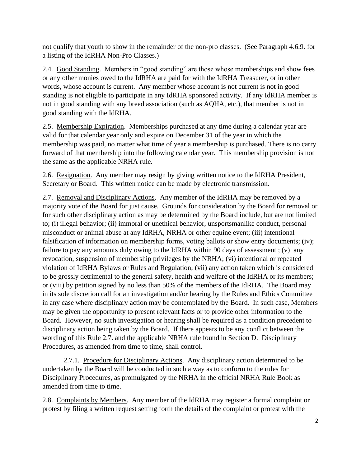not qualify that youth to show in the remainder of the non-pro classes. (See Paragraph 4.6.9. for a listing of the IdRHA Non-Pro Classes.)

2.4. Good Standing. Members in "good standing" are those whose memberships and show fees or any other monies owed to the IdRHA are paid for with the IdRHA Treasurer, or in other words, whose account is current. Any member whose account is not current is not in good standing is not eligible to participate in any IdRHA sponsored activity. If any IdRHA member is not in good standing with any breed association (such as AQHA, etc.), that member is not in good standing with the IdRHA.

2.5. Membership Expiration. Memberships purchased at any time during a calendar year are valid for that calendar year only and expire on December 31 of the year in which the membership was paid, no matter what time of year a membership is purchased. There is no carry forward of that membership into the following calendar year. This membership provision is not the same as the applicable NRHA rule.

2.6. Resignation. Any member may resign by giving written notice to the IdRHA President, Secretary or Board. This written notice can be made by electronic transmission.

2.7. Removal and Disciplinary Actions. Any member of the IdRHA may be removed by a majority vote of the Board for just cause. Grounds for consideration by the Board for removal or for such other disciplinary action as may be determined by the Board include, but are not limited to; (i) illegal behavior; (ii) immoral or unethical behavior, unsportsmanlike conduct, personal misconduct or animal abuse at any IdRHA, NRHA or other equine event; (iii) intentional falsification of information on membership forms, voting ballots or show entry documents; (iv); failure to pay any amounts duly owing to the IdRHA within 90 days of assessment; (v) any revocation, suspension of membership privileges by the NRHA; (vi) intentional or repeated violation of IdRHA Bylaws or Rules and Regulation; (vii) any action taken which is considered to be grossly detrimental to the general safety, health and welfare of the IdRHA or its members; or (viii) by petition signed by no less than 50% of the members of the IdRHA. The Board may in its sole discretion call for an investigation and/or hearing by the Rules and Ethics Committee in any case where disciplinary action may be contemplated by the Board. In such case, Members may be given the opportunity to present relevant facts or to provide other information to the Board. However, no such investigation or hearing shall be required as a condition precedent to disciplinary action being taken by the Board. If there appears to be any conflict between the wording of this Rule 2.7. and the applicable NRHA rule found in Section D. Disciplinary Procedures, as amended from time to time, shall control.

2.7.1. Procedure for Disciplinary Actions. Any disciplinary action determined to be undertaken by the Board will be conducted in such a way as to conform to the rules for Disciplinary Procedures, as promulgated by the NRHA in the official NRHA Rule Book as amended from time to time.

2.8. Complaints by Members. Any member of the IdRHA may register a formal complaint or protest by filing a written request setting forth the details of the complaint or protest with the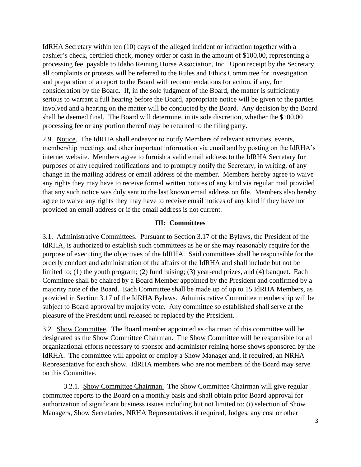IdRHA Secretary within ten (10) days of the alleged incident or infraction together with a cashier's check, certified check, money order or cash in the amount of \$100.00, representing a processing fee, payable to Idaho Reining Horse Association, Inc. Upon receipt by the Secretary, all complaints or protests will be referred to the Rules and Ethics Committee for investigation and preparation of a report to the Board with recommendations for action, if any, for consideration by the Board. If, in the sole judgment of the Board, the matter is sufficiently serious to warrant a full hearing before the Board, appropriate notice will be given to the parties involved and a hearing on the matter will be conducted by the Board. Any decision by the Board shall be deemed final. The Board will determine, in its sole discretion, whether the \$100.00 processing fee or any portion thereof may be returned to the filing party.

2.9. Notice. The IdRHA shall endeavor to notify Members of relevant activities, events, membership meetings and other important information via email and by posting on the IdRHA's internet website. Members agree to furnish a valid email address to the IdRHA Secretary for purposes of any required notifications and to promptly notify the Secretary, in writing, of any change in the mailing address or email address of the member. Members hereby agree to waive any rights they may have to receive formal written notices of any kind via regular mail provided that any such notice was duly sent to the last known email address on file. Members also hereby agree to waive any rights they may have to receive email notices of any kind if they have not provided an email address or if the email address is not current.

#### **III: Committees**

3.1. Administrative Committees. Pursuant to Section 3.17 of the Bylaws, the President of the IdRHA, is authorized to establish such committees as he or she may reasonably require for the purpose of executing the objectives of the IdRHA. Said committees shall be responsible for the orderly conduct and administration of the affairs of the IdRHA and shall include but not be limited to; (1) the youth program; (2) fund raising; (3) year-end prizes, and (4) banquet. Each Committee shall be chaired by a Board Member appointed by the President and confirmed by a majority note of the Board. Each Committee shall be made up of up to 15 IdRHA Members, as provided in Section 3.17 of the IdRHA Bylaws. Administrative Committee membership will be subject to Board approval by majority vote. Any committee so established shall serve at the pleasure of the President until released or replaced by the President.

3.2. Show Committee. The Board member appointed as chairman of this committee will be designated as the Show Committee Chairman. The Show Committee will be responsible for all organizational efforts necessary to sponsor and administer reining horse shows sponsored by the IdRHA. The committee will appoint or employ a Show Manager and, if required, an NRHA Representative for each show. IdRHA members who are not members of the Board may serve on this Committee.

3.2.1. Show Committee Chairman. The Show Committee Chairman will give regular committee reports to the Board on a monthly basis and shall obtain prior Board approval for authorization of significant business issues including but not limited to: (i) selection of Show Managers, Show Secretaries, NRHA Representatives if required, Judges, any cost or other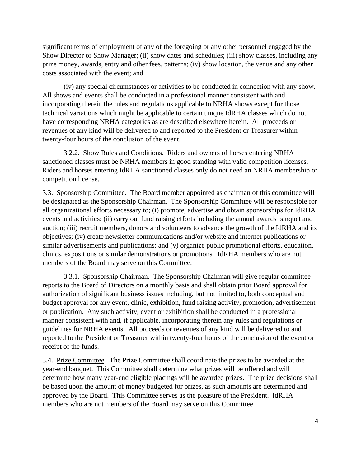significant terms of employment of any of the foregoing or any other personnel engaged by the Show Director or Show Manager; (ii) show dates and schedules; (iii) show classes, including any prize money, awards, entry and other fees, patterns; (iv) show location, the venue and any other costs associated with the event; and

(iv) any special circumstances or activities to be conducted in connection with any show. All shows and events shall be conducted in a professional manner consistent with and incorporating therein the rules and regulations applicable to NRHA shows except for those technical variations which might be applicable to certain unique IdRHA classes which do not have corresponding NRHA categories as are described elsewhere herein. All proceeds or revenues of any kind will be delivered to and reported to the President or Treasurer within twenty-four hours of the conclusion of the event.

3.2.2. Show Rules and Conditions. Riders and owners of horses entering NRHA sanctioned classes must be NRHA members in good standing with valid competition licenses. Riders and horses entering IdRHA sanctioned classes only do not need an NRHA membership or competition license.

3.3. Sponsorship Committee. The Board member appointed as chairman of this committee will be designated as the Sponsorship Chairman. The Sponsorship Committee will be responsible for all organizational efforts necessary to; (i) promote, advertise and obtain sponsorships for IdRHA events and activities; (ii) carry out fund raising efforts including the annual awards banquet and auction; (iii) recruit members, donors and volunteers to advance the growth of the IdRHA and its objectives; (iv) create newsletter communications and/or website and internet publications or similar advertisements and publications; and (v) organize public promotional efforts, education, clinics, expositions or similar demonstrations or promotions. IdRHA members who are not members of the Board may serve on this Committee.

3.3.1. Sponsorship Chairman. The Sponsorship Chairman will give regular committee reports to the Board of Directors on a monthly basis and shall obtain prior Board approval for authorization of significant business issues including, but not limited to, both conceptual and budget approval for any event, clinic, exhibition, fund raising activity, promotion, advertisement or publication. Any such activity, event or exhibition shall be conducted in a professional manner consistent with and, if applicable, incorporating therein any rules and regulations or guidelines for NRHA events. All proceeds or revenues of any kind will be delivered to and reported to the President or Treasurer within twenty-four hours of the conclusion of the event or receipt of the funds.

3.4. Prize Committee. The Prize Committee shall coordinate the prizes to be awarded at the year-end banquet. This Committee shall determine what prizes will be offered and will determine how many year-end eligible placings will be awarded prizes. The prize decisions shall be based upon the amount of money budgeted for prizes, as such amounts are determined and approved by the Board. This Committee serves as the pleasure of the President. IdRHA members who are not members of the Board may serve on this Committee.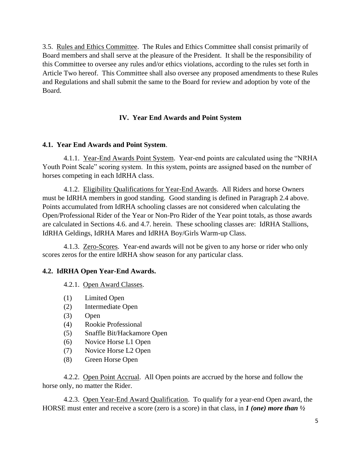3.5. Rules and Ethics Committee. The Rules and Ethics Committee shall consist primarily of Board members and shall serve at the pleasure of the President. It shall be the responsibility of this Committee to oversee any rules and/or ethics violations, according to the rules set forth in Article Two hereof. This Committee shall also oversee any proposed amendments to these Rules and Regulations and shall submit the same to the Board for review and adoption by vote of the Board.

## **IV. Year End Awards and Point System**

## **4.1. Year End Awards and Point System**.

4.1.1. Year-End Awards Point System. Year-end points are calculated using the "NRHA" Youth Point Scale" scoring system. In this system, points are assigned based on the number of horses competing in each IdRHA class.

4.1.2. Eligibility Qualifications for Year-End Awards. All Riders and horse Owners must be IdRHA members in good standing. Good standing is defined in Paragraph 2.4 above. Points accumulated from IdRHA schooling classes are not considered when calculating the Open/Professional Rider of the Year or Non-Pro Rider of the Year point totals, as those awards are calculated in Sections 4.6. and 4.7. herein. These schooling classes are: IdRHA Stallions, IdRHA Geldings, IdRHA Mares and IdRHA Boy/Girls Warm-up Class.

4.1.3. Zero-Scores. Year-end awards will not be given to any horse or rider who only scores zeros for the entire IdRHA show season for any particular class.

# **4.2. IdRHA Open Year-End Awards.**

4.2.1. Open Award Classes.

- (1) Limited Open
- (2) Intermediate Open
- (3) Open
- (4) Rookie Professional
- (5) Snaffle Bit/Hackamore Open
- (6) Novice Horse L1 Open
- (7) Novice Horse L2 Open
- (8) Green Horse Open

4.2.2. Open Point Accrual. All Open points are accrued by the horse and follow the horse only, no matter the Rider.

4.2.3. Open Year-End Award Qualification. To qualify for a year-end Open award, the HORSE must enter and receive a score (zero is a score) in that class, in *1 (one) more than ½*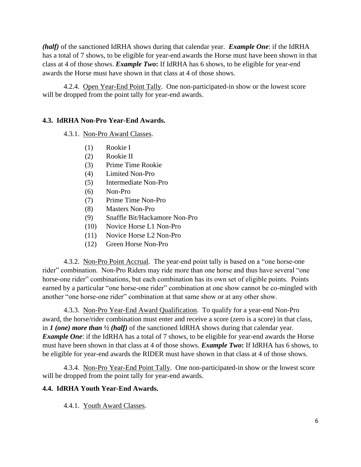*(half)* of the sanctioned IdRHA shows during that calendar year. *Example One*: if the IdRHA has a total of 7 shows, to be eligible for year-end awards the Horse must have been shown in that class at 4 of those shows. *Example Two***:** If IdRHA has 6 shows, to be eligible for year-end awards the Horse must have shown in that class at 4 of those shows.

4.2.4. Open Year-End Point Tally. One non-participated-in show or the lowest score will be dropped from the point tally for year-end awards.

#### **4.3. IdRHA Non-Pro Year-End Awards.**

4.3.1. Non-Pro Award Classes.

- (1) Rookie I
- (2) Rookie II
- (3) Prime Time Rookie
- (4) Limited Non-Pro
- (5) Intermediate Non-Pro
- (6) Non-Pro
- (7) Prime Time Non-Pro
- (8) Masters Non-Pro
- (9) Snaffle Bit/Hackamore Non-Pro
- (10) Novice Horse L1 Non-Pro
- (11) Novice Horse L2 Non-Pro
- (12) Green Horse Non-Pro

4.3.2. Non-Pro Point Accrual. The year-end point tally is based on a "one horse-one rider" combination. Non-Pro Riders may ride more than one horse and thus have several "one horse-one rider" combinations, but each combination has its own set of eligible points. Points earned by a particular "one horse-one rider" combination at one show cannot be co-mingled with another "one horse-one rider" combination at that same show or at any other show.

4.3.3. Non-Pro Year-End Award Qualification. To qualify for a year-end Non-Pro award, the horse/rider combination must enter and receive a score (zero is a score) in that class, in *1 (one) more than ½ (half)* of the sanctioned IdRHA shows during that calendar year. *Example One*: if the IdRHA has a total of 7 shows, to be eligible for year-end awards the Horse must have been shown in that class at 4 of those shows. *Example Two***:** If IdRHA has 6 shows, to be eligible for year-end awards the RIDER must have shown in that class at 4 of those shows.

4.3.4. Non-Pro Year-End Point Tally. One non-participated-in show or the lowest score will be dropped from the point tally for year-end awards.

#### **4.4. IdRHA Youth Year-End Awards.**

4.4.1. Youth Award Classes.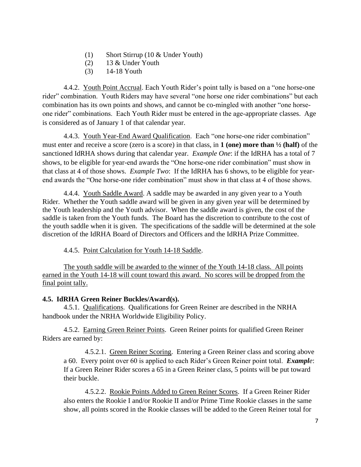- (1) Short Stirrup (10 & Under Youth)
- (2) 13 & Under Youth
- (3) 14-18 Youth

4.4.2. Youth Point Accrual. Each Youth Rider's point tally is based on a "one horse-one rider" combination. Youth Riders may have several "one horse one rider combinations" but each combination has its own points and shows, and cannot be co-mingled with another "one horseone rider" combinations. Each Youth Rider must be entered in the age-appropriate classes. Age is considered as of January 1 of that calendar year.

4.4.3. Youth Year-End Award Qualification. Each "one horse-one rider combination" must enter and receive a score (zero is a score) in that class, in **1 (one) more than ½ (half)** of the sanctioned IdRHA shows during that calendar year. *Example One*: if the IdRHA has a total of 7 shows, to be eligible for year-end awards the "One horse-one rider combination" must show in that class at 4 of those shows. *Example Two*: If the IdRHA has 6 shows, to be eligible for yearend awards the "One horse-one rider combination" must show in that class at 4 of those shows.

4.4.4. Youth Saddle Award. A saddle may be awarded in any given year to a Youth Rider. Whether the Youth saddle award will be given in any given year will be determined by the Youth leadership and the Youth advisor. When the saddle award is given, the cost of the saddle is taken from the Youth funds. The Board has the discretion to contribute to the cost of the youth saddle when it is given. The specifications of the saddle will be determined at the sole discretion of the IdRHA Board of Directors and Officers and the IdRHA Prize Committee.

4.4.5. Point Calculation for Youth 14-18 Saddle.

The youth saddle will be awarded to the winner of the Youth 14-18 class. All points earned in the Youth 14-18 will count toward this award. No scores will be dropped from the final point tally.

#### **4.5. IdRHA Green Reiner Buckles/Award(s).**

4.5.1. Qualifications. Qualifications for Green Reiner are described in the NRHA handbook under the NRHA Worldwide Eligibility Policy.

4.5.2. Earning Green Reiner Points. Green Reiner points for qualified Green Reiner Riders are earned by:

4.5.2.1. Green Reiner Scoring. Entering a Green Reiner class and scoring above a 60. Every point over 60 is applied to each Rider's Green Reiner point total. *Example*: If a Green Reiner Rider scores a 65 in a Green Reiner class, 5 points will be put toward their buckle.

4.5.2.2. Rookie Points Added to Green Reiner Scores. If a Green Reiner Rider also enters the Rookie I and/or Rookie II and/or Prime Time Rookie classes in the same show, all points scored in the Rookie classes will be added to the Green Reiner total for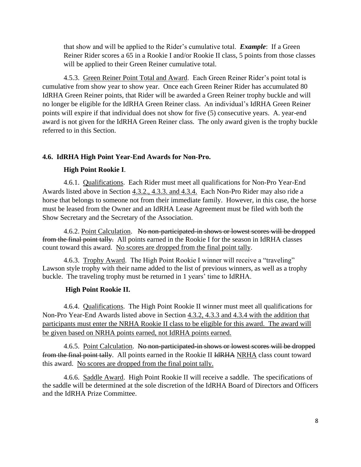that show and will be applied to the Rider's cumulative total. *Example*: If a Green Reiner Rider scores a 65 in a Rookie I and/or Rookie II class, 5 points from those classes will be applied to their Green Reiner cumulative total.

4.5.3. Green Reiner Point Total and Award. Each Green Reiner Rider's point total is cumulative from show year to show year. Once each Green Reiner Rider has accumulated 80 IdRHA Green Reiner points, that Rider will be awarded a Green Reiner trophy buckle and will no longer be eligible for the IdRHA Green Reiner class. An individual's IdRHA Green Reiner points will expire if that individual does not show for five (5) consecutive years. A. year-end award is not given for the IdRHA Green Reiner class. The only award given is the trophy buckle referred to in this Section.

#### **4.6. IdRHA High Point Year-End Awards for Non-Pro.**

#### **High Point Rookie I**.

4.6.1. Qualifications. Each Rider must meet all qualifications for Non-Pro Year-End Awards listed above in Section 4.3.2., 4.3.3. and 4.3.4. Each Non-Pro Rider may also ride a horse that belongs to someone not from their immediate family. However, in this case, the horse must be leased from the Owner and an IdRHA Lease Agreement must be filed with both the Show Secretary and the Secretary of the Association.

4.6.2. Point Calculation. No non-participated-in shows or lowest scores will be dropped from the final point tally. All points earned in the Rookie I for the season in IdRHA classes count toward this award. No scores are dropped from the final point tally.

4.6.3. Trophy Award. The High Point Rookie I winner will receive a "traveling" Lawson style trophy with their name added to the list of previous winners, as well as a trophy buckle. The traveling trophy must be returned in 1 years' time to IdRHA.

#### **High Point Rookie II.**

4.6.4. Qualifications. The High Point Rookie II winner must meet all qualifications for Non-Pro Year-End Awards listed above in Section 4.3.2, 4.3.3 and 4.3.4 with the addition that participants must enter the NRHA Rookie II class to be eligible for this award. The award will be given based on NRHA points earned, not IdRHA points earned.

4.6.5. Point Calculation. No non-participated in shows or lowest scores will be dropped from the final point tally. All points earned in the Rookie II IdRHA NRHA class count toward this award. No scores are dropped from the final point tally.

4.6.6. Saddle Award. High Point Rookie II will receive a saddle. The specifications of the saddle will be determined at the sole discretion of the IdRHA Board of Directors and Officers and the IdRHA Prize Committee.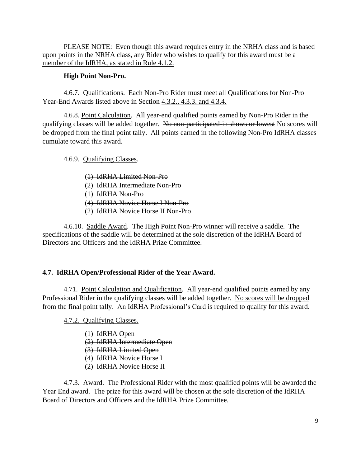PLEASE NOTE: Even though this award requires entry in the NRHA class and is based upon points in the NRHA class, any Rider who wishes to qualify for this award must be a member of the IdRHA, as stated in Rule 4.1.2.

#### **High Point Non-Pro.**

4.6.7. Qualifications. Each Non-Pro Rider must meet all Qualifications for Non-Pro Year-End Awards listed above in Section 4.3.2., 4.3.3. and 4.3.4.

4.6.8. Point Calculation. All year-end qualified points earned by Non-Pro Rider in the qualifying classes will be added together. No non-participated-in shows or lowest No scores will be dropped from the final point tally. All points earned in the following Non-Pro IdRHA classes cumulate toward this award.

4.6.9. Qualifying Classes.

(1) IdRHA Limited Non-Pro (2) IdRHA Intermediate Non-Pro (1) IdRHA Non-Pro (4) IdRHA Novice Horse I Non-Pro (2) IdRHA Novice Horse II Non-Pro

4.6.10. Saddle Award. The High Point Non-Pro winner will receive a saddle. The specifications of the saddle will be determined at the sole discretion of the IdRHA Board of Directors and Officers and the IdRHA Prize Committee.

## **4.7. IdRHA Open/Professional Rider of the Year Award.**

4.71. Point Calculation and Qualification. All year-end qualified points earned by any Professional Rider in the qualifying classes will be added together. No scores will be dropped from the final point tally. An IdRHA Professional's Card is required to qualify for this award.

4.7.2. Qualifying Classes.

- (1) IdRHA Open
- (2) IdRHA Intermediate Open
- (3) IdRHA Limited Open
- (4) IdRHA Novice Horse I
- (2) IdRHA Novice Horse II

4.7.3. Award. The Professional Rider with the most qualified points will be awarded the Year End award. The prize for this award will be chosen at the sole discretion of the IdRHA Board of Directors and Officers and the IdRHA Prize Committee.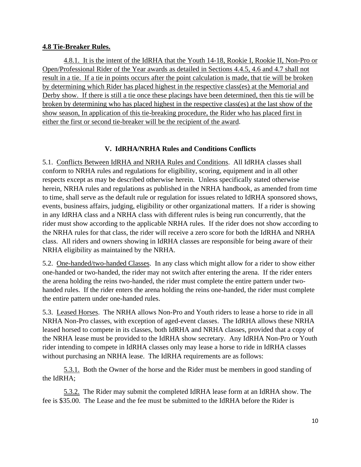#### **4.8 Tie-Breaker Rules.**

4.8.1. It is the intent of the IdRHA that the Youth 14-18, Rookie I, Rookie II, Non-Pro or Open/Professional Rider of the Year awards as detailed in Sections 4.4.5, 4.6 and 4.7 shall not result in a tie. If a tie in points occurs after the point calculation is made, that tie will be broken by determining which Rider has placed highest in the respective class(es) at the Memorial and Derby show. If there is still a tie once these placings have been determined, then this tie will be broken by determining who has placed highest in the respective class(es) at the last show of the show season, In application of this tie-breaking procedure, the Rider who has placed first in either the first or second tie-breaker will be the recipient of the award.

## **V. IdRHA/NRHA Rules and Conditions Conflicts**

5.1. Conflicts Between IdRHA and NRHA Rules and Conditions. All IdRHA classes shall conform to NRHA rules and regulations for eligibility, scoring, equipment and in all other respects except as may be described otherwise herein. Unless specifically stated otherwise herein, NRHA rules and regulations as published in the NRHA handbook, as amended from time to time, shall serve as the default rule or regulation for issues related to IdRHA sponsored shows, events, business affairs, judging, eligibility or other organizational matters. If a rider is showing in any IdRHA class and a NRHA class with different rules is being run concurrently, that the rider must show according to the applicable NRHA rules. If the rider does not show according to the NRHA rules for that class, the rider will receive a zero score for both the IdRHA and NRHA class. All riders and owners showing in IdRHA classes are responsible for being aware of their NRHA eligibility as maintained by the NRHA.

5.2. One-handed/two-handed Classes. In any class which might allow for a rider to show either one-handed or two-handed, the rider may not switch after entering the arena. If the rider enters the arena holding the reins two-handed, the rider must complete the entire pattern under twohanded rules. If the rider enters the arena holding the reins one-handed, the rider must complete the entire pattern under one-handed rules.

5.3. Leased Horses. The NRHA allows Non-Pro and Youth riders to lease a horse to ride in all NRHA Non-Pro classes, with exception of aged-event classes. The IdRHA allows these NRHA leased horsed to compete in its classes, both IdRHA and NRHA classes, provided that a copy of the NRHA lease must be provided to the IdRHA show secretary. Any IdRHA Non-Pro or Youth rider intending to compete in IdRHA classes only may lease a horse to ride in IdRHA classes without purchasing an NRHA lease. The IdRHA requirements are as follows:

5.3.1. Both the Owner of the horse and the Rider must be members in good standing of the IdRHA;

5.3.2. The Rider may submit the completed IdRHA lease form at an IdRHA show. The fee is \$35.00. The Lease and the fee must be submitted to the IdRHA before the Rider is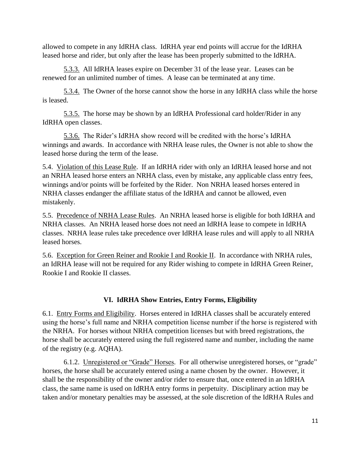allowed to compete in any IdRHA class. IdRHA year end points will accrue for the IdRHA leased horse and rider, but only after the lease has been properly submitted to the IdRHA.

5.3.3. All IdRHA leases expire on December 31 of the lease year. Leases can be renewed for an unlimited number of times. A lease can be terminated at any time.

5.3.4. The Owner of the horse cannot show the horse in any IdRHA class while the horse is leased.

5.3.5. The horse may be shown by an IdRHA Professional card holder/Rider in any IdRHA open classes.

5.3.6. The Rider's IdRHA show record will be credited with the horse's IdRHA winnings and awards. In accordance with NRHA lease rules, the Owner is not able to show the leased horse during the term of the lease.

5.4. Violation of this Lease Rule. If an IdRHA rider with only an IdRHA leased horse and not an NRHA leased horse enters an NRHA class, even by mistake, any applicable class entry fees, winnings and/or points will be forfeited by the Rider. Non NRHA leased horses entered in NRHA classes endanger the affiliate status of the IdRHA and cannot be allowed, even mistakenly.

5.5. Precedence of NRHA Lease Rules. An NRHA leased horse is eligible for both IdRHA and NRHA classes. An NRHA leased horse does not need an IdRHA lease to compete in IdRHA classes. NRHA lease rules take precedence over IdRHA lease rules and will apply to all NRHA leased horses.

5.6. Exception for Green Reiner and Rookie I and Rookie II. In accordance with NRHA rules, an IdRHA lease will not be required for any Rider wishing to compete in IdRHA Green Reiner, Rookie I and Rookie II classes.

## **VI. IdRHA Show Entries, Entry Forms, Eligibility**

6.1. Entry Forms and Eligibility. Horses entered in IdRHA classes shall be accurately entered using the horse's full name and NRHA competition license number if the horse is registered with the NRHA. For horses without NRHA competition licenses but with breed registrations, the horse shall be accurately entered using the full registered name and number, including the name of the registry (e.g. AQHA).

6.1.2. Unregistered or "Grade" Horses. For all otherwise unregistered horses, or "grade" horses, the horse shall be accurately entered using a name chosen by the owner. However, it shall be the responsibility of the owner and/or rider to ensure that, once entered in an IdRHA class, the same name is used on IdRHA entry forms in perpetuity. Disciplinary action may be taken and/or monetary penalties may be assessed, at the sole discretion of the IdRHA Rules and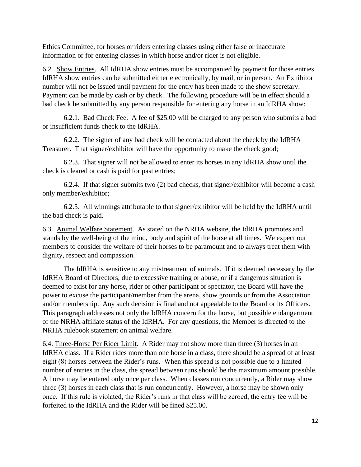Ethics Committee, for horses or riders entering classes using either false or inaccurate information or for entering classes in which horse and/or rider is not eligible.

6.2. Show Entries. All IdRHA show entries must be accompanied by payment for those entries. IdRHA show entries can be submitted either electronically, by mail, or in person. An Exhibitor number will not be issued until payment for the entry has been made to the show secretary. Payment can be made by cash or by check. The following procedure will be in effect should a bad check be submitted by any person responsible for entering any horse in an IdRHA show:

6.2.1. Bad Check Fee. A fee of \$25.00 will be charged to any person who submits a bad or insufficient funds check to the IdRHA.

6.2.2. The signer of any bad check will be contacted about the check by the IdRHA Treasurer. That signer/exhibitor will have the opportunity to make the check good;

6.2.3. That signer will not be allowed to enter its horses in any IdRHA show until the check is cleared or cash is paid for past entries;

6.2.4. If that signer submits two (2) bad checks, that signer/exhibitor will become a cash only member/exhibitor;

6.2.5. All winnings attributable to that signer/exhibitor will be held by the IdRHA until the bad check is paid.

6.3. Animal Welfare Statement. As stated on the NRHA website, the IdRHA promotes and stands by the well-being of the mind, body and spirit of the horse at all times. We expect our members to consider the welfare of their horses to be paramount and to always treat them with dignity, respect and compassion.

The IdRHA is sensitive to any mistreatment of animals. If it is deemed necessary by the IdRHA Board of Directors, due to excessive training or abuse, or if a dangerous situation is deemed to exist for any horse, rider or other participant or spectator, the Board will have the power to excuse the participant/member from the arena, show grounds or from the Association and/or membership. Any such decision is final and not appealable to the Board or its Officers. This paragraph addresses not only the IdRHA concern for the horse, but possible endangerment of the NRHA affiliate status of the IdRHA. For any questions, the Member is directed to the NRHA rulebook statement on animal welfare.

6.4. Three-Horse Per Rider Limit. A Rider may not show more than three (3) horses in an IdRHA class. If a Rider rides more than one horse in a class, there should be a spread of at least eight (8) horses between the Rider's runs. When this spread is not possible due to a limited number of entries in the class, the spread between runs should be the maximum amount possible. A horse may be entered only once per class. When classes run concurrently, a Rider may show three (3) horses in each class that is run concurrently. However, a horse may be shown only once. If this rule is violated, the Rider's runs in that class will be zeroed, the entry fee will be forfeited to the IdRHA and the Rider will be fined \$25.00.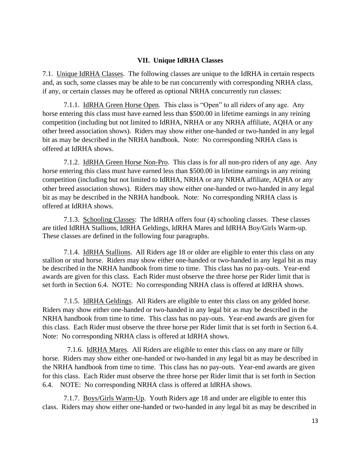#### **VII. Unique IdRHA Classes**

7.1. Unique IdRHA Classes. The following classes are unique to the IdRHA in certain respects and, as such, some classes may be able to be run concurrently with corresponding NRHA class, if any, or certain classes may be offered as optional NRHA concurrently run classes:

7.1.1. IdRHA Green Horse Open. This class is "Open" to all riders of any age. Any horse entering this class must have earned less than \$500.00 in lifetime earnings in any reining competition (including but not limited to IdRHA, NRHA or any NRHA affiliate, AQHA or any other breed association shows). Riders may show either one-handed or two-handed in any legal bit as may be described in the NRHA handbook. Note: No corresponding NRHA class is offered at IdRHA shows.

7.1.2. IdRHA Green Horse Non-Pro. This class is for all non-pro riders of any age. Any horse entering this class must have earned less than \$500.00 in lifetime earnings in any reining competition (including but not limited to IdRHA, NRHA or any NRHA affiliate, AQHA or any other breed association shows). Riders may show either one-handed or two-handed in any legal bit as may be described in the NRHA handbook. Note: No corresponding NRHA class is offered at IdRHA shows.

7.1.3. Schooling Classes: The IdRHA offers four (4) schooling classes. These classes are titled IdRHA Stallions, IdRHA Geldings, IdRHA Mares and IdRHA Boy/Girls Warm-up. These classes are defined in the following four paragraphs.

7.1.4. IdRHA Stallions. All Riders age 18 or older are eligible to enter this class on any stallion or stud horse. Riders may show either one-handed or two-handed in any legal bit as may be described in the NRHA handbook from time to time. This class has no pay-outs. Year-end awards are given for this class. Each Rider must observe the three horse per Rider limit that is set forth in Section 6.4. NOTE: No corresponding NRHA class is offered at IdRHA shows.

7.1.5. IdRHA Geldings. All Riders are eligible to enter this class on any gelded horse. Riders may show either one-handed or two-handed in any legal bit as may be described in the NRHA handbook from time to time. This class has no pay-outs. Year-end awards are given for this class. Each Rider must observe the three horse per Rider limit that is set forth in Section 6.4. Note: No corresponding NRHA class is offered at IdRHA shows.

 7.1.6. IdRHA Mares. All Riders are eligible to enter this class on any mare or filly horse. Riders may show either one-handed or two-handed in any legal bit as may be described in the NRHA handbook from time to time. This class has no pay-outs. Year-end awards are given for this class. Each Rider must observe the three horse per Rider limit that is set forth in Section 6.4. NOTE: No corresponding NRHA class is offered at IdRHA shows.

7.1.7. Boys/Girls Warm-Up. Youth Riders age 18 and under are eligible to enter this class. Riders may show either one-handed or two-handed in any legal bit as may be described in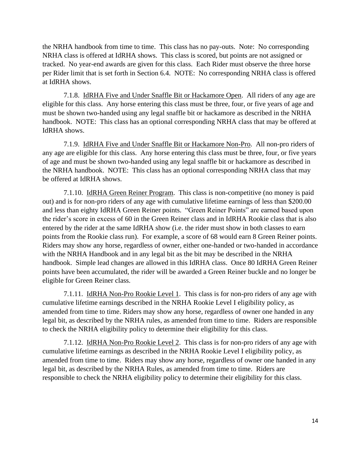the NRHA handbook from time to time. This class has no pay-outs. Note: No corresponding NRHA class is offered at IdRHA shows. This class is scored, but points are not assigned or tracked. No year-end awards are given for this class. Each Rider must observe the three horse per Rider limit that is set forth in Section 6.4. NOTE: No corresponding NRHA class is offered at IdRHA shows.

7.1.8. IdRHA Five and Under Snaffle Bit or Hackamore Open. All riders of any age are eligible for this class. Any horse entering this class must be three, four, or five years of age and must be shown two-handed using any legal snaffle bit or hackamore as described in the NRHA handbook. NOTE: This class has an optional corresponding NRHA class that may be offered at IdRHA shows.

7.1.9. IdRHA Five and Under Snaffle Bit or Hackamore Non-Pro. All non-pro riders of any age are eligible for this class. Any horse entering this class must be three, four, or five years of age and must be shown two-handed using any legal snaffle bit or hackamore as described in the NRHA handbook. NOTE: This class has an optional corresponding NRHA class that may be offered at IdRHA shows.

7.1.10. IdRHA Green Reiner Program. This class is non-competitive (no money is paid out) and is for non-pro riders of any age with cumulative lifetime earnings of less than \$200.00 and less than eighty IdRHA Green Reiner points. "Green Reiner Points" are earned based upon the rider's score in excess of 60 in the Green Reiner class and in IdRHA Rookie class that is also entered by the rider at the same IdRHA show (i.e. the rider must show in both classes to earn points from the Rookie class run). For example, a score of 68 would earn 8 Green Reiner points. Riders may show any horse, regardless of owner, either one-handed or two-handed in accordance with the NRHA Handbook and in any legal bit as the bit may be described in the NRHA handbook. Simple lead changes are allowed in this IdRHA class. Once 80 IdRHA Green Reiner points have been accumulated, the rider will be awarded a Green Reiner buckle and no longer be eligible for Green Reiner class.

7.1.11. IdRHA Non-Pro Rookie Level 1. This class is for non-pro riders of any age with cumulative lifetime earnings described in the NRHA Rookie Level I eligibility policy, as amended from time to time. Riders may show any horse, regardless of owner one handed in any legal bit, as described by the NRHA rules, as amended from time to time. Riders are responsible to check the NRHA eligibility policy to determine their eligibility for this class.

7.1.12. IdRHA Non-Pro Rookie Level 2. This class is for non-pro riders of any age with cumulative lifetime earnings as described in the NRHA Rookie Level I eligibility policy, as amended from time to time. Riders may show any horse, regardless of owner one handed in any legal bit, as described by the NRHA Rules, as amended from time to time. Riders are responsible to check the NRHA eligibility policy to determine their eligibility for this class.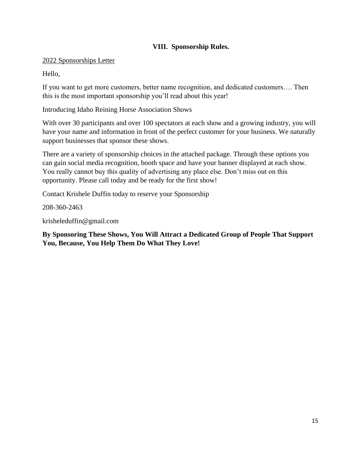## **VIII. Sponsorship Rules.**

#### 2022 Sponsorships Letter

Hello,

If you want to get more customers, better name recognition, and dedicated customers…. Then this is the most important sponsorship you'll read about this year!

Introducing Idaho Reining Horse Association Shows

With over 30 participants and over 100 spectators at each show and a growing industry, you will have your name and information in front of the perfect customer for your business. We naturally support businesses that sponsor these shows.

There are a variety of sponsorship choices in the attached package. Through these options you can gain social media recognition, booth space and have your banner displayed at each show. You really cannot buy this quality of advertising any place else. Don't miss out on this opportunity. Please call today and be ready for the first show!

Contact Krishele Duffin today to reserve your Sponsorship

208-360-2463

krisheleduffin@gmail.com

**By Sponsoring These Shows, You Will Attract a Dedicated Group of People That Support You, Because, You Help Them Do What They Love!**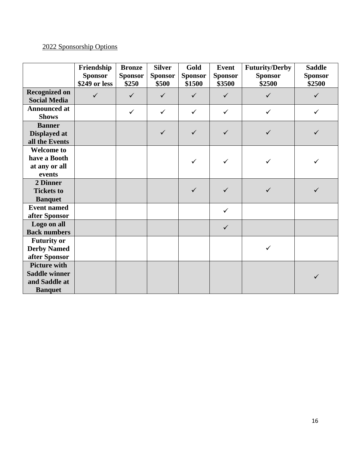# 2022 Sponsorship Options

|                                             | Friendship<br><b>Sponsor</b> | <b>Bronze</b><br><b>Sponsor</b> | <b>Silver</b><br><b>Sponsor</b> | Gold<br><b>Sponsor</b> | <b>Event</b><br><b>Sponsor</b> | <b>Futurity/Derby</b><br><b>Sponsor</b> | <b>Saddle</b><br><b>Sponsor</b> |
|---------------------------------------------|------------------------------|---------------------------------|---------------------------------|------------------------|--------------------------------|-----------------------------------------|---------------------------------|
|                                             | \$249 or less                | \$250                           | \$500                           | \$1500                 | \$3500                         | \$2500                                  | \$2500                          |
| <b>Recognized on</b><br><b>Social Media</b> | $\checkmark$                 | $\checkmark$                    | $\checkmark$                    | $\checkmark$           | $\checkmark$                   | $\checkmark$                            | $\checkmark$                    |
| <b>Announced at</b><br><b>Shows</b>         |                              | $\checkmark$                    | $\checkmark$                    | $\checkmark$           | $\checkmark$                   | $\checkmark$                            | $\checkmark$                    |
| <b>Banner</b>                               |                              |                                 |                                 |                        |                                |                                         |                                 |
| Displayed at                                |                              |                                 | $\checkmark$                    | $\checkmark$           | $\checkmark$                   | $\checkmark$                            | $\checkmark$                    |
| all the Events                              |                              |                                 |                                 |                        |                                |                                         |                                 |
| <b>Welcome to</b>                           |                              |                                 |                                 |                        |                                |                                         |                                 |
| have a Booth                                |                              |                                 |                                 | ✓                      | ✓                              |                                         |                                 |
| at any or all                               |                              |                                 |                                 |                        |                                |                                         |                                 |
| events                                      |                              |                                 |                                 |                        |                                |                                         |                                 |
| 2 Dinner                                    |                              |                                 |                                 |                        |                                |                                         |                                 |
| <b>Tickets to</b>                           |                              |                                 |                                 | $\checkmark$           | $\checkmark$                   | $\checkmark$                            |                                 |
| <b>Banquet</b>                              |                              |                                 |                                 |                        |                                |                                         |                                 |
| <b>Event named</b>                          |                              |                                 |                                 |                        | $\checkmark$                   |                                         |                                 |
| after Sponsor                               |                              |                                 |                                 |                        |                                |                                         |                                 |
| Logo on all                                 |                              |                                 |                                 |                        | $\checkmark$                   |                                         |                                 |
| <b>Back numbers</b>                         |                              |                                 |                                 |                        |                                |                                         |                                 |
| <b>Futurity or</b>                          |                              |                                 |                                 |                        |                                |                                         |                                 |
| <b>Derby Named</b>                          |                              |                                 |                                 |                        |                                | $\checkmark$                            |                                 |
| after Sponsor                               |                              |                                 |                                 |                        |                                |                                         |                                 |
| <b>Picture with</b>                         |                              |                                 |                                 |                        |                                |                                         |                                 |
| <b>Saddle winner</b>                        |                              |                                 |                                 |                        |                                |                                         |                                 |
| and Saddle at                               |                              |                                 |                                 |                        |                                |                                         |                                 |
| <b>Banquet</b>                              |                              |                                 |                                 |                        |                                |                                         |                                 |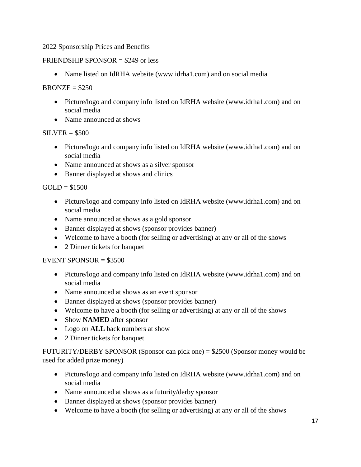## 2022 Sponsorship Prices and Benefits

#### FRIENDSHIP SPONSOR = \$249 or less

• Name listed on IdRHA website (www.idrha1.com) and on social media

#### $BRONZE = $250$

- Picture/logo and company info listed on IdRHA website (www.idrha1.com) and on social media
- Name announced at shows

## $SILVER = $500$

- Picture/logo and company info listed on IdRHA website (www.idrha1.com) and on social media
- Name announced at shows as a silver sponsor
- Banner displayed at shows and clinics

 $GOLD = $1500$ 

- Picture/logo and company info listed on IdRHA website (www.idrha1.com) and on social media
- Name announced at shows as a gold sponsor
- Banner displayed at shows (sponsor provides banner)
- Welcome to have a booth (for selling or advertising) at any or all of the shows
- 2 Dinner tickets for banquet

## EVENT SPONSOR  $= $3500$

- Picture/logo and company info listed on IdRHA website (www.idrha1.com) and on social media
- Name announced at shows as an event sponsor
- Banner displayed at shows (sponsor provides banner)
- Welcome to have a booth (for selling or advertising) at any or all of the shows
- Show **NAMED** after sponsor
- Logo on **ALL** back numbers at show
- 2 Dinner tickets for banquet

FUTURITY/DERBY SPONSOR (Sponsor can pick one) = \$2500 (Sponsor money would be used for added prize money)

- Picture/logo and company info listed on IdRHA website (www.idrha1.com) and on social media
- Name announced at shows as a futurity/derby sponsor
- Banner displayed at shows (sponsor provides banner)
- Welcome to have a booth (for selling or advertising) at any or all of the shows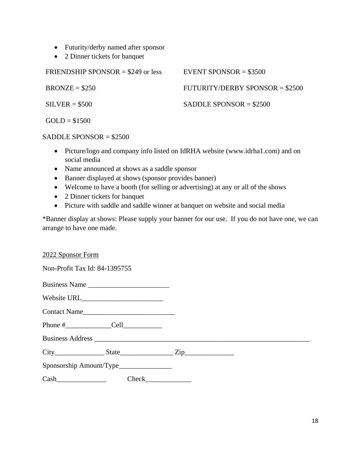- Futurity/derby named after sponsor
- 2 Dinner tickets for banquet

| FRIENDSHIP SPONSOR = $$249$ or less | EVENT SPONSOR = $$3500$          |
|-------------------------------------|----------------------------------|
| $BRONZE = $250$                     | $FUTURITY/DERBY SPONSOR = $2500$ |
| $SILVER = $500$                     | SADDLE SPONSOR $= $2500$         |
| $GOLD = $1500$                      |                                  |

#### SADDLE SPONSOR = \$2500

- Picture/logo and company info listed on IdRHA website (www.idrha1.com) and on social media
- Name announced at shows as a saddle sponsor
- Banner displayed at shows (sponsor provides banner)
- Welcome to have a booth (for selling or advertising) at any or all of the shows
- 2 Dinner tickets for banquet
- Picture with saddle and saddle winner at banquet on website and social media

\*Banner display at shows: Please supply your banner for our use. If you do not have one, we can arrange to have one made.

#### 2022 Sponsor Form

Non-Profit Tax Id: 84-1395755

| Business Name                                                                                                                                                                                                                                                                                    |       |  |
|--------------------------------------------------------------------------------------------------------------------------------------------------------------------------------------------------------------------------------------------------------------------------------------------------|-------|--|
|                                                                                                                                                                                                                                                                                                  |       |  |
| Contact Name                                                                                                                                                                                                                                                                                     |       |  |
|                                                                                                                                                                                                                                                                                                  |       |  |
|                                                                                                                                                                                                                                                                                                  |       |  |
| $City$ $City$ $State$ $Zip$                                                                                                                                                                                                                                                                      |       |  |
| Sponsorship Amount/Type________________                                                                                                                                                                                                                                                          |       |  |
| $Cash$ and $\qquad$ and $\qquad$ and $\qquad$ and $\qquad$ and $\qquad$ and $\qquad$ and $\qquad$ and $\qquad$ and $\qquad$ and $\qquad$ and $\qquad$ and $\qquad$ and $\qquad$ and $\qquad$ and $\qquad$ and $\qquad$ and $\qquad$ and $\qquad$ and $\qquad$ and $\qquad$ and $\qquad$ and $\q$ | Check |  |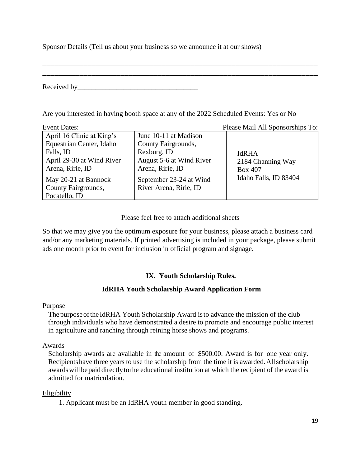Sponsor Details (Tell us about your business so we announce it at our shows)

Received by

Are you interested in having booth space at any of the 2022 Scheduled Events: Yes or No

\_\_\_\_\_\_\_\_\_\_\_\_\_\_\_\_\_\_\_\_\_\_\_\_\_\_\_\_\_\_\_\_\_\_\_\_\_\_\_\_\_\_\_\_\_\_\_\_\_\_\_\_\_\_\_\_\_\_\_\_\_\_\_\_\_\_\_ \_\_\_\_\_\_\_\_\_\_\_\_\_\_\_\_\_\_\_\_\_\_\_\_\_\_\_\_\_\_\_\_\_\_\_\_\_\_\_\_\_\_\_\_\_\_\_\_\_\_\_\_\_\_\_\_\_\_\_\_\_\_\_\_\_\_\_

| <b>Event Dates:</b>                                   |                                              | Please Mail All Sponsorships To:    |
|-------------------------------------------------------|----------------------------------------------|-------------------------------------|
| April 16 Clinic at King's<br>Equestrian Center, Idaho | June 10-11 at Madison<br>County Fairgrounds, |                                     |
| Falls, ID                                             | Rexburg, ID                                  | <b>IdRHA</b>                        |
| April 29-30 at Wind River<br>Arena, Ririe, ID         | August 5-6 at Wind River<br>Arena, Ririe, ID | 2184 Channing Way<br><b>Box 407</b> |
| May 20-21 at Bannock                                  | September 23-24 at Wind                      | Idaho Falls, ID 83404               |
| County Fairgrounds,                                   | River Arena, Ririe, ID                       |                                     |
| Pocatello, ID                                         |                                              |                                     |

Please feel free to attach additional sheets

So that we may give you the optimum exposure for your business, please attach a business card and/or any marketing materials. If printed advertising is included in your package, please submit ads one month prior to event for inclusion in official program and signage.

# **IX. Youth Scholarship Rules.**

## **IdRHA Youth Scholarship Award Application Form**

#### Purpose

The purpose of the IdRHA Youth Scholarship Award is to advance the mission of the club through individuals who have demonstrated a desire to promote and encourage public interest in agriculture and ranching through reining horse shows and programs.

## Awards

Scholarship awards are available in the amount of \$500.00. Award is for one year only. Recipientshave three years to use the scholarship from the time it is awarded.Allscholarship awardswillbepaiddirectlytothe educational institution at which the recipient of the award is admitted for matriculation.

## Eligibility

1. Applicant must be an IdRHA youth member in good standing.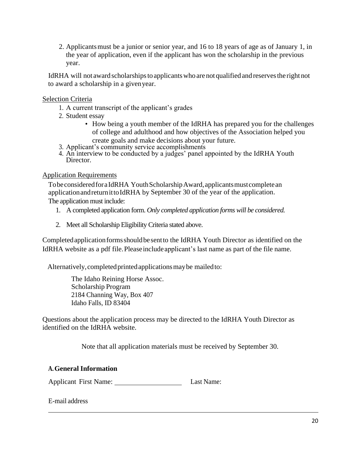2. Applicantsmust be a junior or senior year, and 16 to 18 years of age as of January 1, in the year of application, even if the applicant has won the scholarship in the previous year.

IdRHA will not award scholarships to applicants who are not qualified and reserves the right not to award a scholarship in a givenyear.

#### Selection Criteria

- 1. A current transcript of the applicant's grades
- 2. Student essay
	- How being a youth member of the IdRHA has prepared you for the challenges of college and adulthood and how objectives of the Association helped you create goals and make decisions about your future.
- 3. Applicant's community service accomplishments
- 4. An interview to be conducted by a judges' panel appointed by the IdRHA Youth Director.

#### Application Requirements

Tobe considered for a IdRHA Youth Scholarship Award, applicants must complete an applicationandreturnittoIdRHA by September 30 of the year of the application. The application must include:

- 1. A completed application form. *Only completed application forms will be considered.*
- 2. Meet all Scholarship Eligibility Criteria stated above.

Completedapplicationformsshouldbesen[tto the IdRHA Youth Director](about:blank) as identified on the [IdRHA website as a pdf file.P](about:blank)leaseincludeapplicant's last name as part of the file name.

Alternatively,completedprintedapplicationsmaybe mailedto:

The Idaho Reining Horse Assoc. Scholarship Program 2184 Channing Way, Box 407 Idaho Falls, ID 83404

Questions about the application process may be directed to the IdRHA Youth Director as identified on the IdRHA website.

Note that all application materials must be received by September 30.

#### **A.General Information**

Applicant First Name: Last Name:

E-mail address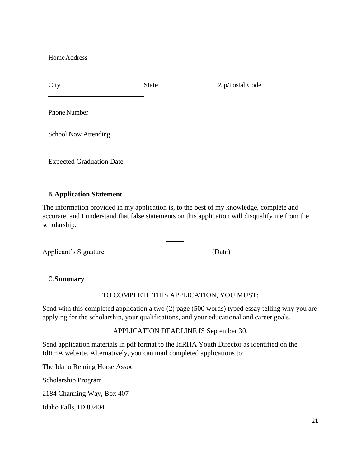| Home Address                    |  |  |
|---------------------------------|--|--|
|                                 |  |  |
| Phone Number                    |  |  |
| <b>School Now Attending</b>     |  |  |
| <b>Expected Graduation Date</b> |  |  |

#### **B. Application Statement**

The information provided in my application is, to the best of my knowledge, complete and accurate, and I understand that false statements on this application will disqualify me from the scholarship.

\_\_\_\_\_\_\_\_\_\_\_\_\_\_\_\_\_\_\_\_\_\_\_\_\_\_\_\_\_ \_\_\_\_\_\_\_\_\_\_\_\_\_\_\_\_\_\_\_\_\_\_\_\_\_\_\_\_\_\_\_\_

Applicant's Signature (Date)

#### **C.Summary**

TO COMPLETE THIS APPLICATION, YOU MUST:

Send with this completed application a two (2) page (500 words) typed essay telling why you are applying for the scholarship, your qualifications, and your educational and career goals.

APPLICATION DEADLINE IS September 30.

Send application materials in pdf format to the IdRHA Youth Director as identified on the IdRHA website. Alternatively, you can mail completed applications to:

The Idaho Reining Horse Assoc.

Scholarship Program

2184 Channing Way, Box 407

Idaho Falls, ID 83404